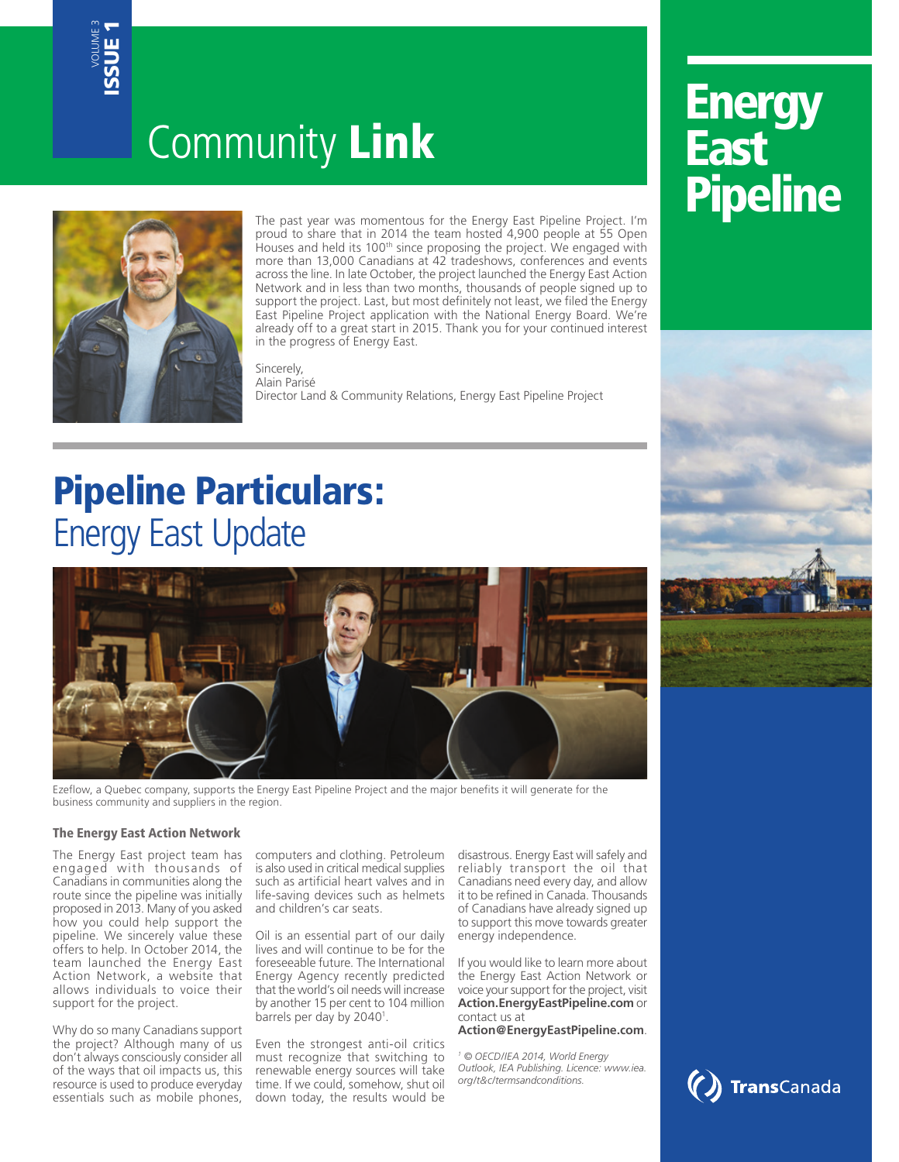# Community Link



The past year was momentous for the Energy East Pipeline Project. I'm proud to share that in 2014 the team hosted 4,900 people at 55 Open Houses and held its 100<sup>th</sup> since proposing the project. We engaged with more than 13,000 Canadians at 42 tradeshows, conferences and events across the line. In late October, the project launched the Energy East Action Network and in less than two months, thousands of people signed up to support the project. Last, but most definitely not least, we filed the Energy East Pipeline Project application with the National Energy Board. We're already off to a great start in 2015. Thank you for your continued interest in the progress of Energy East.

**Sincerely** Alain Parisé Director Land & Community Relations, Energy East Pipeline Project

# Pipeline Particulars: Energy East Update



Ezeflow, a Quebec company, supports the Energy East Pipeline Project and the major benefits it will generate for the business community and suppliers in the region.

### The Energy East Action Network

The Energy East project team has engaged with thousands of Canadians in communities along the route since the pipeline was initially proposed in 2013. Many of you asked how you could help support the pipeline. We sincerely value these offers to help. In October 2014, the team launched the Energy East Action Network, a website that allows individuals to voice their support for the project.

Why do so many Canadians support the project? Although many of us don't always consciously consider all of the ways that oil impacts us, this resource is used to produce everyday essentials such as mobile phones, computers and clothing. Petroleum is also used in critical medical supplies such as artificial heart valves and in life-saving devices such as helmets and children's car seats.

Oil is an essential part of our daily lives and will continue to be for the foreseeable future. The International Energy Agency recently predicted that the world's oil needs will increase by another 15 per cent to 104 million barrels per day by 2040<sup>1</sup>.

Even the strongest anti-oil critics must recognize that switching to renewable energy sources will take time. If we could, somehow, shut oil down today, the results would be

disastrous. Energy East will safely and reliably transport the oil that Canadians need every day, and allow it to be refined in Canada. Thousands of Canadians have already signed up to support this move towards greater energy independence.

If you would like to learn more about the Energy East Action Network or voice your support for the project, visit **Action.EnergyEastPipeline.com** or contact us at

**Action@EnergyEastPipeline.com**.

*1 © OECD/IEA 2014, World Energy Outlook, IEA Publishing. Licence: www.iea. org/t&c/termsandconditions.*

# **Energy** East **Pipeline**



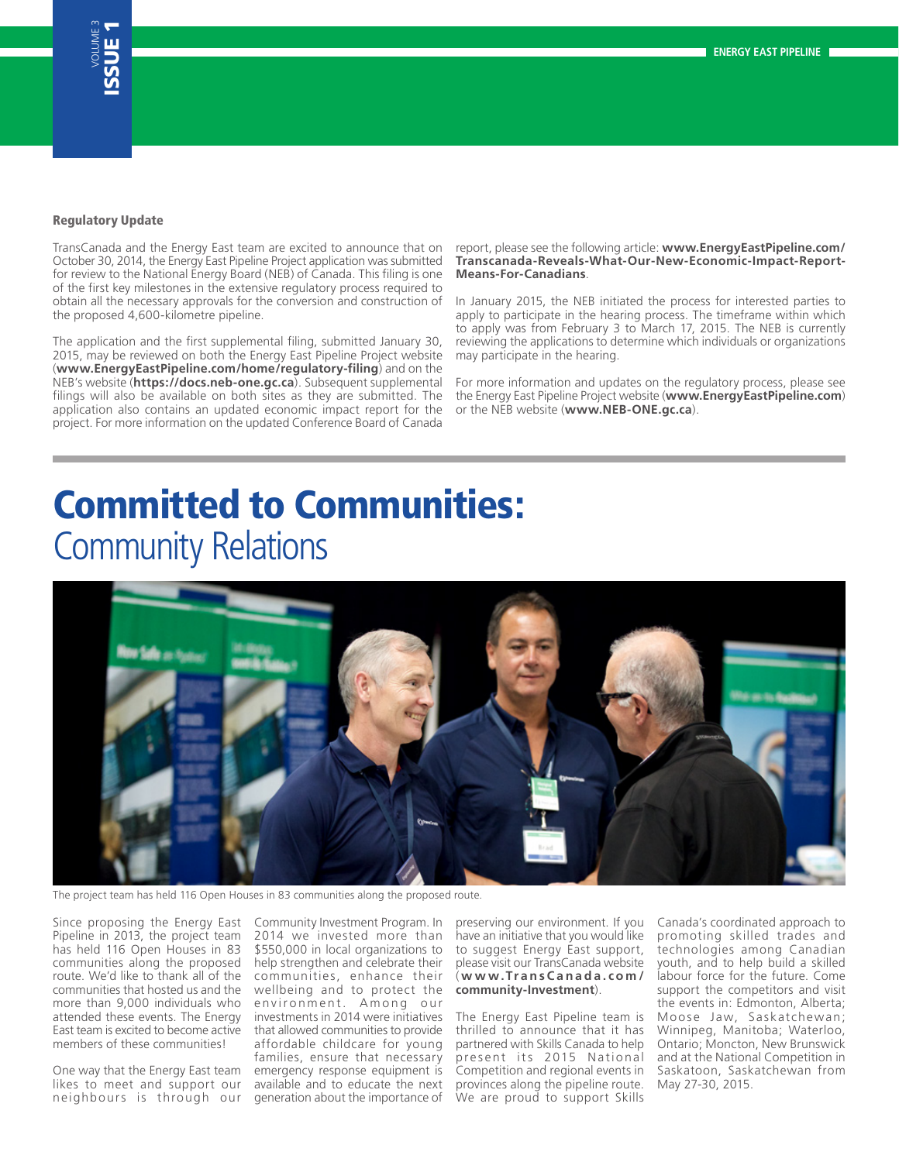#### Regulatory Update

TransCanada and the Energy East team are excited to announce that on October 30, 2014, the Energy East Pipeline Project application was submitted for review to the National Energy Board (NEB) of Canada. This filing is one of the first key milestones in the extensive regulatory process required to obtain all the necessary approvals for the conversion and construction of the proposed 4,600-kilometre pipeline.

The application and the first supplemental filing, submitted January 30, 2015, may be reviewed on both the Energy East Pipeline Project website (**www.EnergyEastPipeline.com/home/regulatory-filing**) and on the NEB's website (**https://docs.neb-one.gc.ca**). Subsequent supplemental filings will also be available on both sites as they are submitted. The application also contains an updated economic impact report for the project. For more information on the updated Conference Board of Canada

report, please see the following article: **www.EnergyEastPipeline.com/ Transcanada-Reveals-What-Our-New-Economic-Impact-Report-Means-For-Canadians**.

In January 2015, the NEB initiated the process for interested parties to apply to participate in the hearing process. The timeframe within which to apply was from February 3 to March 17, 2015. The NEB is currently reviewing the applications to determine which individuals or organizations may participate in the hearing.

For more information and updates on the regulatory process, please see the Energy East Pipeline Project website (**www.EnergyEastPipeline.com**) or the NEB website (**www.NEB-ONE.gc.ca**).

### Committed to Communities: Community Relations



The project team has held 116 Open Houses in 83 communities along the proposed route.

Since proposing the Energy East Pipeline in 2013, the project team has held 116 Open Houses in 83 communities along the proposed route. We'd like to thank all of the communities that hosted us and the more than 9,000 individuals who attended these events. The Energy East team is excited to become active members of these communities!

One way that the Energy East team likes to meet and support our neighbours is through our

Community Investment Program. In 2014 we invested more than \$550,000 in local organizations to help strengthen and celebrate their communities, enhance their wellbeing and to protect the environment. Among our investments in 2014 were initiatives that allowed communities to provide affordable childcare for young families, ensure that necessary emergency response equipment is available and to educate the next generation about the importance of

preserving our environment. If you have an initiative that you would like to suggest Energy East support, please visit our TransCanada website ( **www.TransCanada.com / community-Investment**).

The Energy East Pipeline team is thrilled to announce that it has partnered with Skills Canada to help present its 2015 National Competition and regional events in provinces along the pipeline route. We are proud to support Skills

Canada's coordinated approach to promoting skilled trades and technologies among Canadian youth, and to help build a skilled labour force for the future. Come support the competitors and visit the events in: Edmonton, Alberta; Moose Jaw, Saskatchewan; Winnipeg, Manitoba; Waterloo, Ontario; Moncton, New Brunswick and at the National Competition in Saskatoon, Saskatchewan from May 27-30, 2015.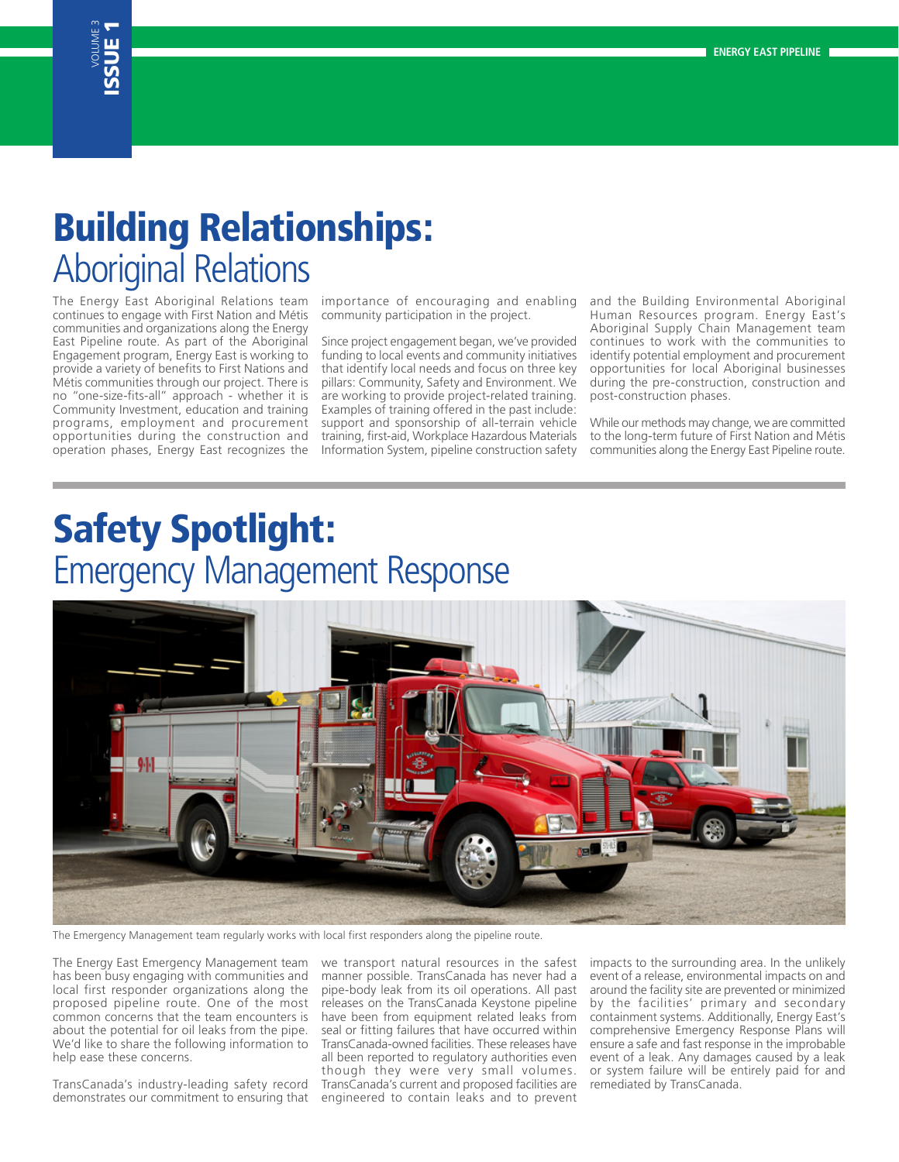### VOLUME 3 ISSUE 1

# Building Relationships: Aboriginal Relations

The Energy East Aboriginal Relations team continues to engage with First Nation and Métis communities and organizations along the Energy East Pipeline route. As part of the Aboriginal Engagement program, Energy East is working to provide a variety of benefits to First Nations and Métis communities through our project. There is no "one-size-fits-all" approach - whether it is Community Investment, education and training programs, employment and procurement opportunities during the construction and operation phases, Energy East recognizes the importance of encouraging and enabling community participation in the project.

Since project engagement began, we've provided funding to local events and community initiatives that identify local needs and focus on three key pillars: Community, Safety and Environment. We are working to provide project-related training. Examples of training offered in the past include: support and sponsorship of all-terrain vehicle training, first-aid, Workplace Hazardous Materials Information System, pipeline construction safety and the Building Environmental Aboriginal Human Resources program. Energy East's Aboriginal Supply Chain Management team continues to work with the communities to identify potential employment and procurement opportunities for local Aboriginal businesses during the pre-construction, construction and post-construction phases.

While our methods may change, we are committed to the long-term future of First Nation and Métis communities along the Energy East Pipeline route.

## Safety Spotlight: Emergency Management Response



The Emergency Management team regularly works with local first responders along the pipeline route.

The Energy East Emergency Management team has been busy engaging with communities and local first responder organizations along the proposed pipeline route. One of the most common concerns that the team encounters is about the potential for oil leaks from the pipe. We'd like to share the following information to help ease these concerns.

TransCanada's industry-leading safety record demonstrates our commitment to ensuring that

we transport natural resources in the safest manner possible. TransCanada has never had a pipe-body leak from its oil operations. All past releases on the TransCanada Keystone pipeline have been from equipment related leaks from seal or fitting failures that have occurred within TransCanada-owned facilities. These releases have all been reported to regulatory authorities even though they were very small volumes. TransCanada's current and proposed facilities are engineered to contain leaks and to prevent

impacts to the surrounding area. In the unlikely event of a release, environmental impacts on and around the facility site are prevented or minimized by the facilities' primary and secondary containment systems. Additionally, Energy East's comprehensive Emergency Response Plans will ensure a safe and fast response in the improbable event of a leak. Any damages caused by a leak or system failure will be entirely paid for and remediated by TransCanada.